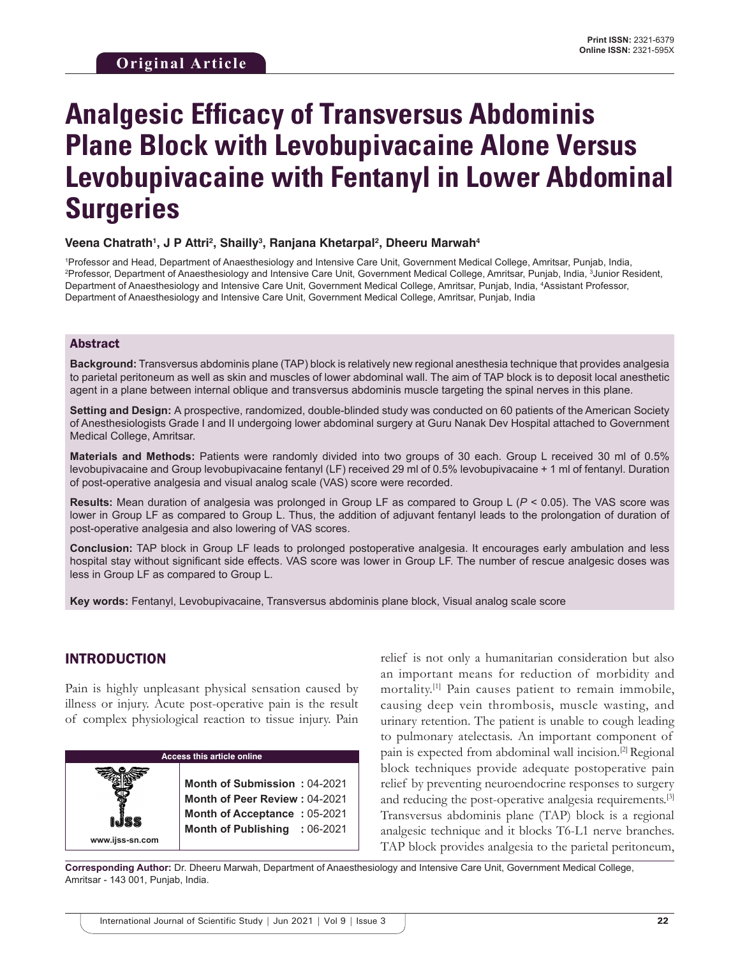# **Analgesic Efficacy of Transversus Abdominis Plane Block with Levobupivacaine Alone Versus Levobupivacaine with Fentanyl in Lower Abdominal Surgeries**

#### **Veena Chatrath1 , J P Attri2 , Shailly3 , Ranjana Khetarpal2 , Dheeru Marwah4**

1 Professor and Head, Department of Anaesthesiology and Intensive Care Unit, Government Medical College, Amritsar, Punjab, India, 2 Professor, Department of Anaesthesiology and Intensive Care Unit, Government Medical College, Amritsar, Punjab, India, 3 Junior Resident, Department of Anaesthesiology and Intensive Care Unit, Government Medical College, Amritsar, Punjab, India, 4 Assistant Professor, Department of Anaesthesiology and Intensive Care Unit, Government Medical College, Amritsar, Punjab, India

#### Abstract

**Background:** Transversus abdominis plane (TAP) block is relatively new regional anesthesia technique that provides analgesia to parietal peritoneum as well as skin and muscles of lower abdominal wall. The aim of TAP block is to deposit local anesthetic agent in a plane between internal oblique and transversus abdominis muscle targeting the spinal nerves in this plane.

**Setting and Design:** A prospective, randomized, double-blinded study was conducted on 60 patients of the American Society of Anesthesiologists Grade I and II undergoing lower abdominal surgery at Guru Nanak Dev Hospital attached to Government Medical College, Amritsar.

**Materials and Methods:** Patients were randomly divided into two groups of 30 each. Group L received 30 ml of 0.5% levobupivacaine and Group levobupivacaine fentanyl (LF) received 29 ml of 0.5% levobupivacaine + 1 ml of fentanyl. Duration of post-operative analgesia and visual analog scale (VAS) score were recorded.

**Results:** Mean duration of analgesia was prolonged in Group LF as compared to Group L (*P* < 0.05). The VAS score was lower in Group LF as compared to Group L. Thus, the addition of adjuvant fentanyl leads to the prolongation of duration of post-operative analgesia and also lowering of VAS scores.

**Conclusion:** TAP block in Group LF leads to prolonged postoperative analgesia. It encourages early ambulation and less hospital stay without significant side effects. VAS score was lower in Group LF. The number of rescue analgesic doses was less in Group LF as compared to Group L.

**Key words:** Fentanyl, Levobupivacaine, Transversus abdominis plane block, Visual analog scale score

## INTRODUCTION

Pain is highly unpleasant physical sensation caused by illness or injury. Acute post-operative pain is the result of complex physiological reaction to tissue injury. Pain



relief is not only a humanitarian consideration but also an important means for reduction of morbidity and mortality.<sup>[1]</sup> Pain causes patient to remain immobile, causing deep vein thrombosis, muscle wasting, and urinary retention. The patient is unable to cough leading to pulmonary atelectasis. An important component of pain is expected from abdominal wall incision.[2] Regional block techniques provide adequate postoperative pain relief by preventing neuroendocrine responses to surgery and reducing the post-operative analgesia requirements.<sup>[3]</sup> Transversus abdominis plane (TAP) block is a regional analgesic technique and it blocks T6-L1 nerve branches. TAP block provides analgesia to the parietal peritoneum,

**Corresponding Author:** Dr. Dheeru Marwah, Department of Anaesthesiology and Intensive Care Unit, Government Medical College, Amritsar - 143 001, Punjab, India.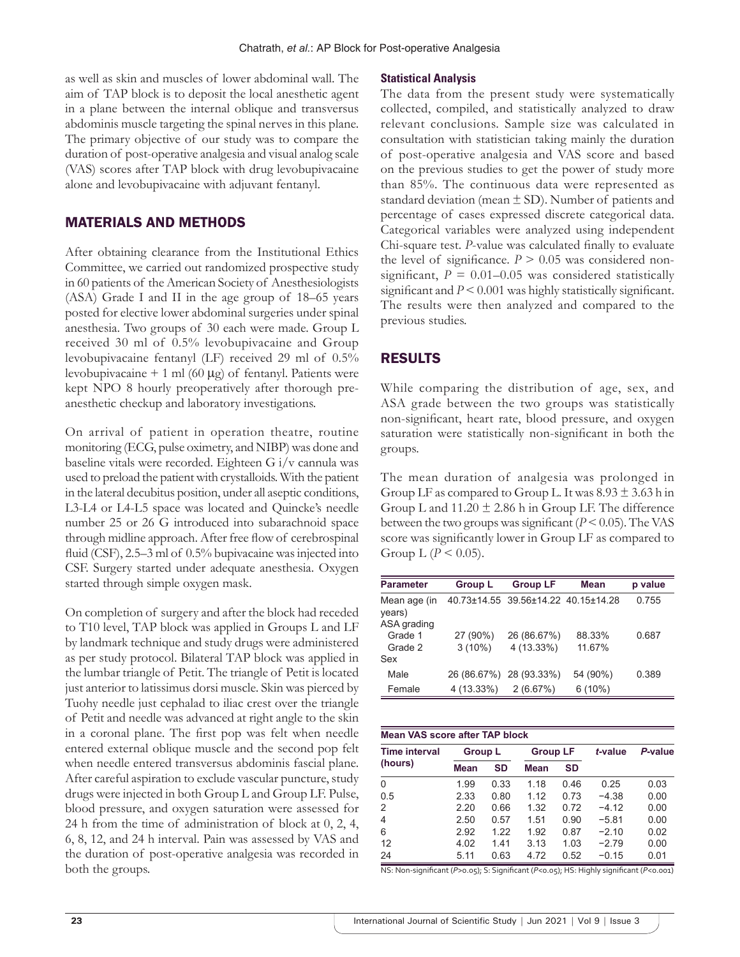as well as skin and muscles of lower abdominal wall. The aim of TAP block is to deposit the local anesthetic agent in a plane between the internal oblique and transversus abdominis muscle targeting the spinal nerves in this plane. The primary objective of our study was to compare the duration of post-operative analgesia and visual analog scale (VAS) scores after TAP block with drug levobupivacaine alone and levobupivacaine with adjuvant fentanyl.

# MATERIALS AND METHODS

After obtaining clearance from the Institutional Ethics Committee, we carried out randomized prospective study in 60 patients of the American Society of Anesthesiologists (ASA) Grade I and II in the age group of 18–65 years posted for elective lower abdominal surgeries under spinal anesthesia. Two groups of 30 each were made. Group L received 30 ml of 0.5% levobupivacaine and Group levobupivacaine fentanyl (LF) received 29 ml of 0.5% levobupivacaine + 1 ml (60  $\mu$ g) of fentanyl. Patients were kept NPO 8 hourly preoperatively after thorough preanesthetic checkup and laboratory investigations.

On arrival of patient in operation theatre, routine monitoring (ECG, pulse oximetry, and NIBP) was done and baseline vitals were recorded. Eighteen G i/v cannula was used to preload the patient with crystalloids. With the patient in the lateral decubitus position, under all aseptic conditions, L3-L4 or L4-L5 space was located and Quincke's needle number 25 or 26 G introduced into subarachnoid space through midline approach. After free flow of cerebrospinal fluid (CSF), 2.5–3 ml of 0.5% bupivacaine was injected into CSF. Surgery started under adequate anesthesia. Oxygen started through simple oxygen mask.

On completion of surgery and after the block had receded to T10 level, TAP block was applied in Groups L and LF by landmark technique and study drugs were administered as per study protocol. Bilateral TAP block was applied in the lumbar triangle of Petit. The triangle of Petit is located just anterior to latissimus dorsi muscle. Skin was pierced by Tuohy needle just cephalad to iliac crest over the triangle of Petit and needle was advanced at right angle to the skin in a coronal plane. The first pop was felt when needle entered external oblique muscle and the second pop felt when needle entered transversus abdominis fascial plane. After careful aspiration to exclude vascular puncture, study drugs were injected in both Group L and Group LF. Pulse, blood pressure, and oxygen saturation were assessed for 24 h from the time of administration of block at 0, 2, 4, 6, 8, 12, and 24 h interval. Pain was assessed by VAS and the duration of post-operative analgesia was recorded in both the groups.

#### **Statistical Analysis**

The data from the present study were systematically collected, compiled, and statistically analyzed to draw relevant conclusions. Sample size was calculated in consultation with statistician taking mainly the duration of post-operative analgesia and VAS score and based on the previous studies to get the power of study more than 85%. The continuous data were represented as standard deviation (mean  $\pm$  SD). Number of patients and percentage of cases expressed discrete categorical data. Categorical variables were analyzed using independent Chi-square test. *P*-value was calculated finally to evaluate the level of significance.  $P > 0.05$  was considered nonsignificant,  $P = 0.01 - 0.05$  was considered statistically significant and  $P \le 0.001$  was highly statistically significant. The results were then analyzed and compared to the previous studies.

# RESULTS

While comparing the distribution of age, sex, and ASA grade between the two groups was statistically non-significant, heart rate, blood pressure, and oxygen saturation were statistically non-significant in both the groups.

The mean duration of analgesia was prolonged in Group LF as compared to Group L. It was  $8.93 \pm 3.63$  h in Group L and  $11.20 \pm 2.86$  h in Group LF. The difference between the two groups was significant  $(P < 0.05)$ . The VAS score was significantly lower in Group LF as compared to Group L ( $P < 0.05$ ).

| <b>Parameter</b>                  | <b>Group L</b>        | <b>Group LF</b>                     | <b>Mean</b>      | p value |
|-----------------------------------|-----------------------|-------------------------------------|------------------|---------|
| Mean age (in<br>years)            |                       | 40.73±14.55 39.56±14.22 40.15±14.28 |                  | 0.755   |
| ASA grading<br>Grade 1<br>Grade 2 | 27 (90%)<br>$3(10\%)$ | 26 (86.67%)<br>4 (13.33%)           | 88.33%<br>11.67% | 0.687   |
| Sex                               |                       |                                     |                  |         |
| Male                              |                       | 26 (86.67%) 28 (93.33%)             | 54 (90%)         | 0.389   |
| Female                            | 4 (13.33%)            | 2(6.67%)                            | 6(10%)           |         |

| Mean VAS score after TAP block  |                |      |                 |           |         |         |  |
|---------------------------------|----------------|------|-----------------|-----------|---------|---------|--|
| <b>Time interval</b><br>(hours) | <b>Group L</b> |      | <b>Group LF</b> |           | t-value | P-value |  |
|                                 | Mean           | SD   | Mean            | <b>SD</b> |         |         |  |
| $\Omega$                        | 1.99           | 0.33 | 1.18            | 0.46      | 0.25    | 0.03    |  |
| 0.5                             | 2.33           | 0.80 | 1.12            | 0.73      | $-4.38$ | 0.00    |  |
| 2                               | 2.20           | 0.66 | 1.32            | 0.72      | $-412$  | 0.00    |  |
| 4                               | 2.50           | 0.57 | 1.51            | 0.90      | $-5.81$ | 0.00    |  |
| 6                               | 2.92           | 1 22 | 1.92            | 0.87      | $-2.10$ | 0.02    |  |
| 12                              | 4.02           | 141  | 3.13            | 1.03      | $-2.79$ | 0.00    |  |
| 24                              | 5.11           | 0.63 | 4.72            | 0.52      | $-0.15$ | 0.01    |  |

NS: Non-significant (*P*>0.05); S: Significant (*P*<0.05); HS: Highly significant (*P*<0.001)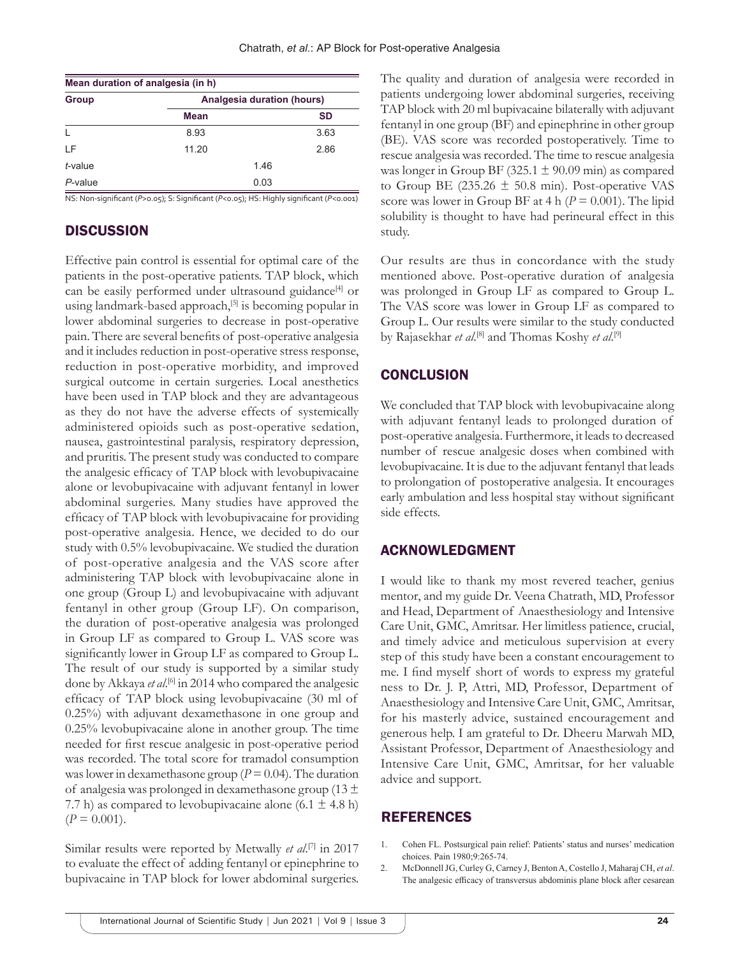| Mean duration of analgesia (in h) |                                   |      |           |  |  |
|-----------------------------------|-----------------------------------|------|-----------|--|--|
| Group                             | <b>Analgesia duration (hours)</b> |      |           |  |  |
|                                   | Mean                              |      | <b>SD</b> |  |  |
| L                                 | 8.93                              |      | 3.63      |  |  |
| ΙF                                | 11.20                             |      | 2.86      |  |  |
| t-value                           |                                   | 1.46 |           |  |  |
| P-value                           |                                   | 0.03 |           |  |  |

NS: Non-significant (*P*>0.05); S: Significant (*P*<0.05); HS: Highly significant (*P*<0.001)

# **DISCUSSION**

Effective pain control is essential for optimal care of the patients in the post-operative patients. TAP block, which can be easily performed under ultrasound guidance<sup>[4]</sup> or using landmark-based approach,<sup>[5]</sup> is becoming popular in lower abdominal surgeries to decrease in post-operative pain. There are several benefits of post-operative analgesia and it includes reduction in post-operative stress response, reduction in post-operative morbidity, and improved surgical outcome in certain surgeries. Local anesthetics have been used in TAP block and they are advantageous as they do not have the adverse effects of systemically administered opioids such as post-operative sedation, nausea, gastrointestinal paralysis, respiratory depression, and pruritis. The present study was conducted to compare the analgesic efficacy of TAP block with levobupivacaine alone or levobupivacaine with adjuvant fentanyl in lower abdominal surgeries. Many studies have approved the efficacy of TAP block with levobupivacaine for providing post-operative analgesia. Hence, we decided to do our study with 0.5% levobupivacaine. We studied the duration of post-operative analgesia and the VAS score after administering TAP block with levobupivacaine alone in one group (Group L) and levobupivacaine with adjuvant fentanyl in other group (Group LF). On comparison, the duration of post-operative analgesia was prolonged in Group LF as compared to Group L. VAS score was significantly lower in Group LF as compared to Group L. The result of our study is supported by a similar study done by Akkaya et al.<sup>[6]</sup> in 2014 who compared the analgesic efficacy of TAP block using levobupivacaine (30 ml of 0.25%) with adjuvant dexamethasone in one group and 0.25% levobupivacaine alone in another group. The time needed for first rescue analgesic in post-operative period was recorded. The total score for tramadol consumption was lower in dexamethasone group  $(P = 0.04)$ . The duration of analgesia was prolonged in dexamethasone group (13 ± 7.7 h) as compared to levobupivacaine alone  $(6.1 \pm 4.8 \text{ h})$  $(P = 0.001)$ .

Similar results were reported by Metwally *et al*. [7] in 2017 to evaluate the effect of adding fentanyl or epinephrine to bupivacaine in TAP block for lower abdominal surgeries.

The quality and duration of analgesia were recorded in patients undergoing lower abdominal surgeries, receiving TAP block with 20 ml bupivacaine bilaterally with adjuvant fentanyl in one group (BF) and epinephrine in other group (BE). VAS score was recorded postoperatively. Time to rescue analgesia was recorded. The time to rescue analgesia was longer in Group BF (325.1  $\pm$  90.09 min) as compared to Group BE (235.26  $\pm$  50.8 min). Post-operative VAS score was lower in Group BF at  $4 h (P = 0.001)$ . The lipid solubility is thought to have had perineural effect in this study.

Our results are thus in concordance with the study mentioned above. Post-operative duration of analgesia was prolonged in Group LF as compared to Group L. The VAS score was lower in Group LF as compared to Group L. Our results were similar to the study conducted by Rajasekhar *et al*.<sup>[8]</sup> and Thomas Koshy *et al*.<sup>[9]</sup>

## **CONCLUSION**

We concluded that TAP block with levobupivacaine along with adjuvant fentanyl leads to prolonged duration of post-operative analgesia. Furthermore, it leads to decreased number of rescue analgesic doses when combined with levobupivacaine. It is due to the adjuvant fentanyl that leads to prolongation of postoperative analgesia. It encourages early ambulation and less hospital stay without significant side effects.

### ACKNOWLEDGMENT

I would like to thank my most revered teacher, genius mentor, and my guide Dr. Veena Chatrath, MD, Professor and Head, Department of Anaesthesiology and Intensive Care Unit, GMC, Amritsar. Her limitless patience, crucial, and timely advice and meticulous supervision at every step of this study have been a constant encouragement to me. I find myself short of words to express my grateful ness to Dr. J. P, Attri, MD, Professor, Department of Anaesthesiology and Intensive Care Unit, GMC, Amritsar, for his masterly advice, sustained encouragement and generous help. I am grateful to Dr. Dheeru Marwah MD, Assistant Professor, Department of Anaesthesiology and Intensive Care Unit, GMC, Amritsar, for her valuable advice and support.

## REFERENCES

- 1. Cohen FL. Postsurgical pain relief: Patients' status and nurses' medication choices. Pain 1980;9:265-74.
- 2. McDonnell JG, Curley G, Carney J, Benton A, Costello J, Maharaj CH, *et al*. The analgesic efficacy of transversus abdominis plane block after cesarean